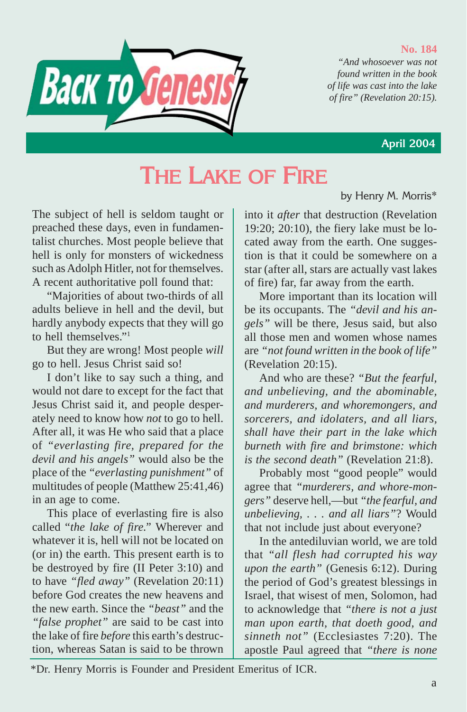#### **No. 184**

*"And whosoever was not found written in the book of life was cast into the lake of fire" (Revelation 20:15).*



## **April 2004**

by Henry M. Morris\*

# **THE LAKE OF FIRE**

The subject of hell is seldom taught or preached these days, even in fundamentalist churches. Most people believe that hell is only for monsters of wickedness such as Adolph Hitler, not for themselves. A recent authoritative poll found that:

"Majorities of about two-thirds of all adults believe in hell and the devil, but hardly anybody expects that they will go to hell themselves."1

But they are wrong! Most people *will* go to hell. Jesus Christ said so!

I don't like to say such a thing, and would not dare to except for the fact that Jesus Christ said it, and people desperately need to know how *not* to go to hell. After all, it was He who said that a place of *"everlasting fire, prepared for the devil and his angels"* would also be the place of the *"everlasting punishment"* of multitudes of people (Matthew 25:41,46) in an age to come.

This place of everlasting fire is also called "*the lake of fire."* Wherever and whatever it is, hell will not be located on (or in) the earth. This present earth is to be destroyed by fire (II Peter 3:10) and to have *"fled away"* (Revelation 20:11) before God creates the new heavens and the new earth. Since the *"beast"* and the *"false prophet"* are said to be cast into the lake of fire *before* this earth's destruction, whereas Satan is said to be thrown into it *after* that destruction (Revelation 19:20; 20:10), the fiery lake must be located away from the earth. One suggestion is that it could be somewhere on a star (after all, stars are actually vast lakes of fire) far, far away from the earth.

More important than its location will be its occupants. The *"devil and his angels"* will be there, Jesus said, but also all those men and women whose names are *"not found written in the book of life"* (Revelation 20:15).

And who are these? *"But the fearful, and unbelieving, and the abominable, and murderers, and whoremongers, and sorcerers, and idolaters, and all liars, shall have their part in the lake which burneth with fire and brimstone: which is the second death"* (Revelation 21:8).

Probably most "good people" would agree that *"murderers, and whore-mongers"* deserve hell,—but *"the fearful, and unbelieving, . . . and all liars"*? Would that not include just about everyone?

In the antediluvian world, we are told that *"all flesh had corrupted his way upon the earth"* (Genesis 6:12). During the period of God's greatest blessings in Israel, that wisest of men, Solomon, had to acknowledge that *"there is not a just man upon earth, that doeth good, and sinneth not"* (Ecclesiastes 7:20). The apostle Paul agreed that *"there is none*

\*Dr. Henry Morris is Founder and President Emeritus of ICR.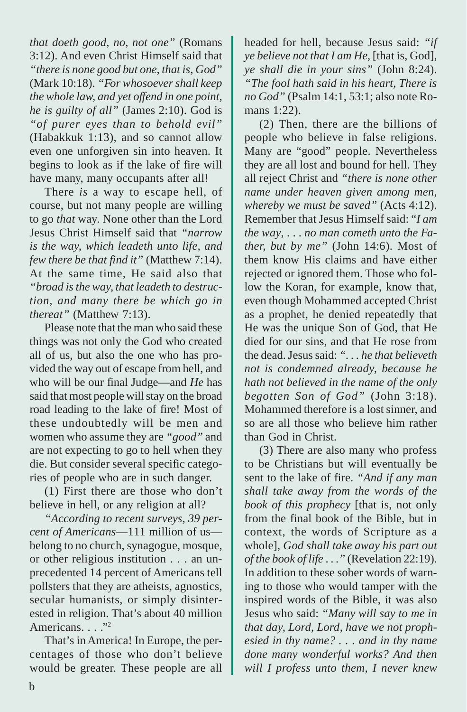*that doeth good, no, not one"* (Romans 3:12). And even Christ Himself said that *"there is none good but one, that is, God"* (Mark 10:18). *"For whosoever shall keep the whole law, and yet offend in one point, he is guilty of all"* (James 2:10). God is *"of purer eyes than to behold evil"* (Habakkuk 1:13), and so cannot allow even one unforgiven sin into heaven. It begins to look as if the lake of fire will have many, many occupants after all!

There *is* a way to escape hell, of course, but not many people are willing to go *that* way. None other than the Lord Jesus Christ Himself said that *"narrow is the way, which leadeth unto life, and few there be that find it"* (Matthew 7:14). At the same time, He said also that *"broad is the way, that leadeth to destruction, and many there be which go in thereat"* (Matthew 7:13).

Please note that the man who said these things was not only the God who created all of us, but also the one who has provided the way out of escape from hell, and who will be our final Judge—and *He* has said that most people will stay on the broad road leading to the lake of fire! Most of these undoubtedly will be men and women who assume they are *"good"* and are not expecting to go to hell when they die. But consider several specific categories of people who are in such danger.

(1) First there are those who don't believe in hell, or any religion at all?

*"According to recent surveys, 39 percent of Americans*—111 million of us belong to no church, synagogue, mosque, or other religious institution . . . an unprecedented 14 percent of Americans tell pollsters that they are atheists, agnostics, secular humanists, or simply disinterested in religion. That's about 40 million Americans<sup>1</sup>.

That's in America! In Europe, the percentages of those who don't believe would be greater. These people are all headed for hell, because Jesus said: *"if ye believe not that I am He,* [that is, God], *ye shall die in your sins"* (John 8:24). *"The fool hath said in his heart, There is no God"* (Psalm 14:1, 53:1; also note Romans 1:22).

(2) Then, there are the billions of people who believe in false religions. Many are "good" people. Nevertheless they are all lost and bound for hell. They all reject Christ and *"there is none other name under heaven given among men, whereby we must be saved"* (Acts 4:12). Remember that Jesus Himself said: "*I am the way*, . . . *no man cometh unto the Father, but by me"* (John 14:6). Most of them know His claims and have either rejected or ignored them. Those who follow the Koran, for example, know that, even though Mohammed accepted Christ as a prophet, he denied repeatedly that He was the unique Son of God, that He died for our sins, and that He rose from the dead. Jesus said: *". . . he that believeth not is condemned already, because he hath not believed in the name of the only begotten Son of God"* (John 3:18). Mohammed therefore is a lost sinner, and so are all those who believe him rather than God in Christ.

(3) There are also many who profess to be Christians but will eventually be sent to the lake of fire. *"And if any man shall take away from the words of the book of this prophecy* [that is, not only from the final book of the Bible, but in context, the words of Scripture as a whole], *God shall take away his part out of the book of life* . . .*"* (Revelation 22:19). In addition to these sober words of warning to those who would tamper with the inspired words of the Bible, it was also Jesus who said: *"Many will say to me in that day, Lord, Lord, have we not prophesied in thy name? . . . and in thy name done many wonderful works? And then will I profess unto them, I never knew*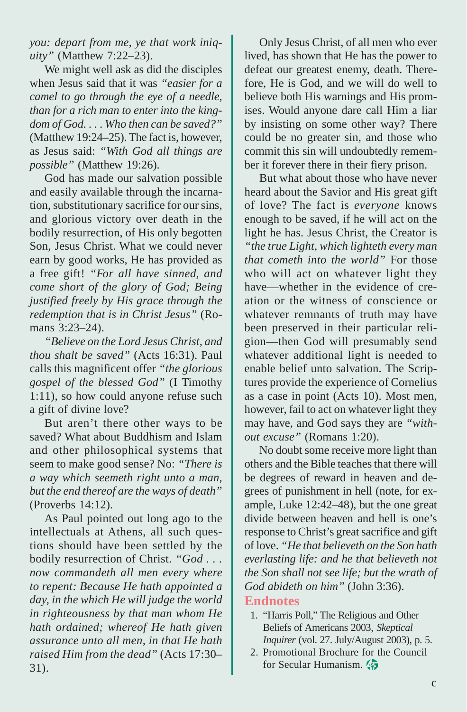*you: depart from me, ye that work iniquity"* (Matthew 7:22–23).

We might well ask as did the disciples when Jesus said that it was *"easier for a camel to go through the eye of a needle, than for a rich man to enter into the kingdom of God. . . . Who then can be saved?"* (Matthew 19:24–25). The fact is, however, as Jesus said: *"With God all things are possible"* (Matthew 19:26).

God has made our salvation possible and easily available through the incarnation, substitutionary sacrifice for our sins, and glorious victory over death in the bodily resurrection, of His only begotten Son, Jesus Christ. What we could never earn by good works, He has provided as a free gift! *"For all have sinned, and come short of the glory of God; Being justified freely by His grace through the redemption that is in Christ Jesus"* (Romans 3:23–24).

*"Believe on the Lord Jesus Christ, and thou shalt be saved"* (Acts 16:31). Paul calls this magnificent offer *"the glorious gospel of the blessed God"* (I Timothy 1:11), so how could anyone refuse such a gift of divine love?

But aren't there other ways to be saved? What about Buddhism and Islam and other philosophical systems that seem to make good sense? No: *"There is a way which seemeth right unto a man, but the end thereof are the ways of death"* (Proverbs 14:12).

As Paul pointed out long ago to the intellectuals at Athens, all such questions should have been settled by the bodily resurrection of Christ. *"God . . . now commandeth all men every where to repent: Because He hath appointed a day, in the which He will judge the world in righteousness by that man whom He hath ordained; whereof He hath given assurance unto all men, in that He hath raised Him from the dead"* (Acts 17:30– 31).

Only Jesus Christ, of all men who ever lived, has shown that He has the power to defeat our greatest enemy, death. Therefore, He is God, and we will do well to believe both His warnings and His promises. Would anyone dare call Him a liar by insisting on some other way? There could be no greater sin, and those who commit this sin will undoubtedly remember it forever there in their fiery prison.

But what about those who have never heard about the Savior and His great gift of love? The fact is *everyone* knows enough to be saved, if he will act on the light he has. Jesus Christ, the Creator is *"the true Light, which lighteth every man that cometh into the world"* For those who will act on whatever light they have—whether in the evidence of creation or the witness of conscience or whatever remnants of truth may have been preserved in their particular religion—then God will presumably send whatever additional light is needed to enable belief unto salvation. The Scriptures provide the experience of Cornelius as a case in point (Acts 10). Most men, however, fail to act on whatever light they may have, and God says they are *"without excuse"* (Romans 1:20).

No doubt some receive more light than others and the Bible teaches that there will be degrees of reward in heaven and degrees of punishment in hell (note, for example, Luke 12:42–48), but the one great divide between heaven and hell is one's response to Christ's great sacrifice and gift of love. *"He that believeth on the Son hath everlasting life: and he that believeth not the Son shall not see life; but the wrath of God abideth on him"* (John 3:36).

### **Endnotes**

- 1. "Harris Poll," The Religious and Other Beliefs of Americans 2003, *Skeptical Inquirer* (vol. 27. July/August 2003), p. 5.
- 2. Promotional Brochure for the Council for Secular Humanism.